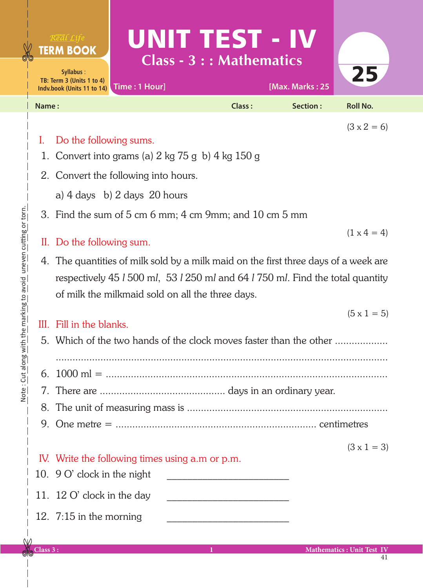| <b>TERM BOOK</b><br>Syllabus:<br>TB: Term 3 (Units 1 to 4)<br>Time: 1 Hour]<br>Indv.book (Units 11 to 14) | UNITETST - IV<br>Class - 3 : : Mathematics | [Max. Marks: 25 | 25                 |
|-----------------------------------------------------------------------------------------------------------|--------------------------------------------|-----------------|--------------------|
| Name:                                                                                                     | <b>Class:</b>                              | Section:        | <b>Roll No.</b>    |
| Do the following sums.                                                                                    |                                            |                 | $(3 \times 2 = 6)$ |
| 1. Convert into grams (a) $2 \text{ kg } 75 \text{ g }$ b) $4 \text{ kg } 150 \text{ g}$                  |                                            |                 |                    |

- 2. Convert the following into hours.
	- a) 4 days b) 2 days 20 hours
- 3. Find the sum of 5 cm 6 mm; 4 cm 9mm; and 10 cm 5 mm

## II. Do the following sum.

4. The quantities of milk sold by a milk maid on the first three days of a week are respectively 45 *l* 500 m*l*, 53 *l* 250 m*l* and 64 *l* 750 m*l*. Find the total quantity of milk the milkmaid sold on all the three days.

## III. Fill in the blanks.

- 5. Which of the two hands of the clock moves faster than the other ...................
- ....................................................................................................................... 6. 1000 ml = .....................................................................................................
- 7. There are ............................................. days in an ordinary year.
- 
- 8. The unit of measuring mass is ........................................................................
- 9. One metre = ........................................................................ centimetres
	- $(3 \times 1 = 3)$

 $(1 \times 4 = 4)$ 

 $(5 \times 1 = 5)$ 

## IV. Write the following times using a.m or p.m.

- 10.  $9 \text{ O'}$  clock in the night 11.  $12 \text{ O}'$  clock in the day
- 12.  $7:15$  in the morning

Note: Cut along with the marking to avoid uneven cutting or torn. Note : Cut along with the marking to avoid uneven cutting or torn.